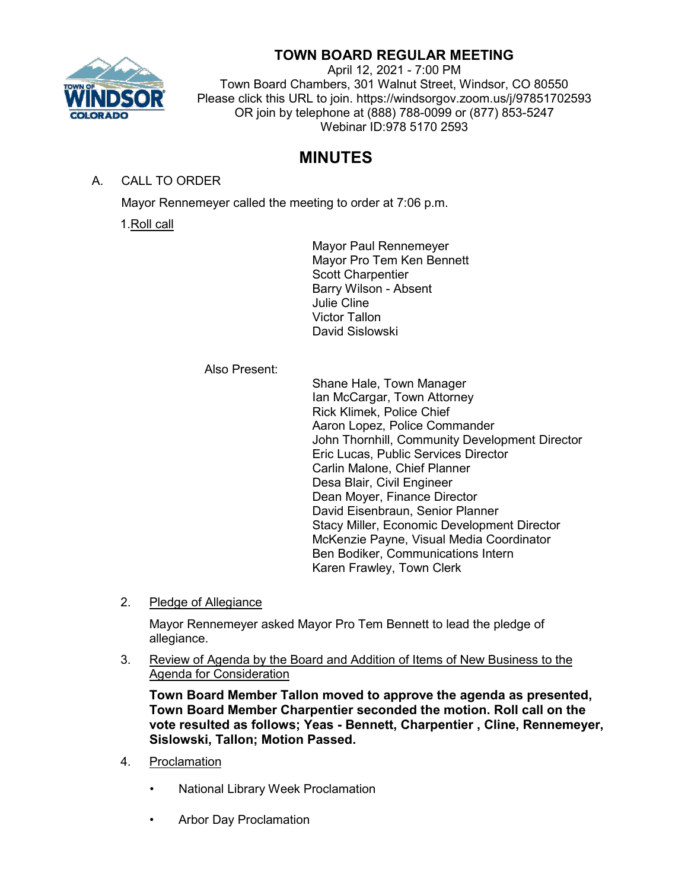

# **TOWN BOARD REGULAR MEETING**

April 12, 2021 - 7:00 PM Town Board Chambers, 301 Walnut Street, Windsor, CO 80550 Please click this URL to join. https://windsorgov.zoom.us/j/97851702593 OR join by telephone at (888) 788-0099 or (877) 853-5247 Webinar ID:978 5170 2593

# **MINUTES**

A. CALL TO ORDER

Mayor Rennemeyer called the meeting to order at 7:06 p.m.

1.Roll call

Mayor Paul Rennemeyer Mayor Pro Tem Ken Bennett Scott Charpentier Barry Wilson - Absent Julie Cline Victor Tallon David Sislowski

Also Present:

Shane Hale, Town Manager Ian McCargar, Town Attorney Rick Klimek, Police Chief Aaron Lopez, Police Commander John Thornhill, Community Development Director Eric Lucas, Public Services Director Carlin Malone, Chief Planner Desa Blair, Civil Engineer Dean Moyer, Finance Director David Eisenbraun, Senior Planner Stacy Miller, Economic Development Director McKenzie Payne, Visual Media Coordinator Ben Bodiker, Communications Intern Karen Frawley, Town Clerk

2. Pledge of Allegiance

Mayor Rennemeyer asked Mayor Pro Tem Bennett to lead the pledge of allegiance.

3. Review of Agenda by the Board and Addition of Items of New Business to the Agenda for Consideration

**Town Board Member Tallon moved to approve the agenda as presented, Town Board Member Charpentier seconded the motion. Roll call on the vote resulted as follows; Yeas - Bennett, Charpentier , Cline, Rennemeyer, Sislowski, Tallon; Motion Passed.**

- 4. Proclamation
	- National Library Week Proclamation
	- Arbor Day Proclamation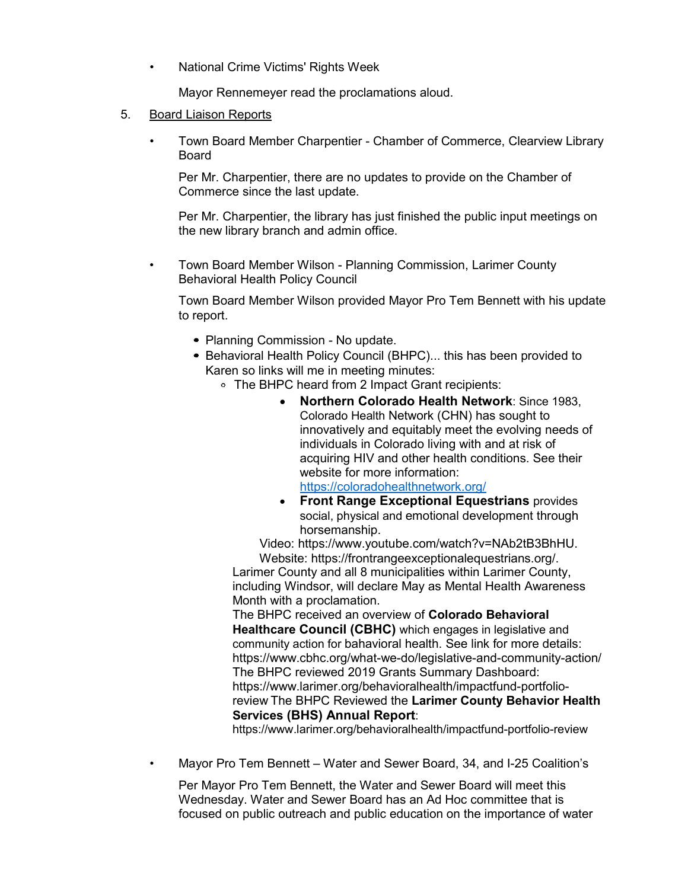• National Crime Victims' Rights Week

Mayor Rennemeyer read the proclamations aloud.

- 5. Board Liaison Reports
	- Town Board Member Charpentier Chamber of Commerce, Clearview Library Board

Per Mr. Charpentier, there are no updates to provide on the Chamber of Commerce since the last update.

Per Mr. Charpentier, the library has just finished the public input meetings on the new library branch and admin office.

• Town Board Member Wilson - Planning Commission, Larimer County Behavioral Health Policy Council

Town Board Member Wilson provided Mayor Pro Tem Bennett with his update to report.

- Planning Commission No update.
- Behavioral Health Policy Council (BHPC)... this has been provided to Karen so links will me in meeting minutes:
	- The BHPC heard from 2 Impact Grant recipients:
		- **Northern Colorado Health Network**: Since 1983, Colorado Health Network (CHN) has sought to innovatively and equitably meet the evolving needs of individuals in Colorado living with and at risk of acquiring HIV and other health conditions. See their website for more information: <https://coloradohealthnetwork.org/>
		- **Front Range Exceptional Equestrians** provides social, physical and emotional development through horsemanship.

Video: [https://www.youtube.com/watch?v=NAb2tB3BhHU.](https://www.youtube.com/watch?v=NAb2tB3BhHU) Website: [https://frontrangeexceptionalequestrians.org/.](https://frontrangeexceptionalequestrians.org/)

Larimer County and all 8 municipalities within Larimer County, including Windsor, will declare May as Mental Health Awareness Month with a proclamation.

The BHPC received an overview of **Colorado Behavioral Healthcare Council (CBHC)** which engages in legislative and community action for [bahavioral health. See link for more details:](https://www.cbhc.org/what-we-do/legislative-and-community-action/)  <https://www.cbhc.org/what-we-do/legislative-and-community-action/> The BHPC reviewed 2019 Grants Summary [Dashboard:](https://www.larimer.org/behavioralhealth/impactfund-portfolio-review)  [https://www.larimer.org/behavioralhealth/impactfund-portfolio](https://www.larimer.org/behavioralhealth/impactfund-portfolio-review)[review](https://www.larimer.org/behavioralhealth/impactfund-portfolio-review) The BHPC Reviewed the **Larimer County Behavior Health Services [\(BHS\) Annual Report](https://www.larimer.org/behavioralhealth/impactfund-portfolio-review)**:

<https://www.larimer.org/behavioralhealth/impactfund-portfolio-review>

• Mayor Pro Tem Bennett – Water and Sewer Board, 34, and I-25 Coalition's

Per Mayor Pro Tem Bennett, the Water and Sewer Board will meet this Wednesday. Water and Sewer Board has an Ad Hoc committee that is focused on public outreach and public education on the importance of water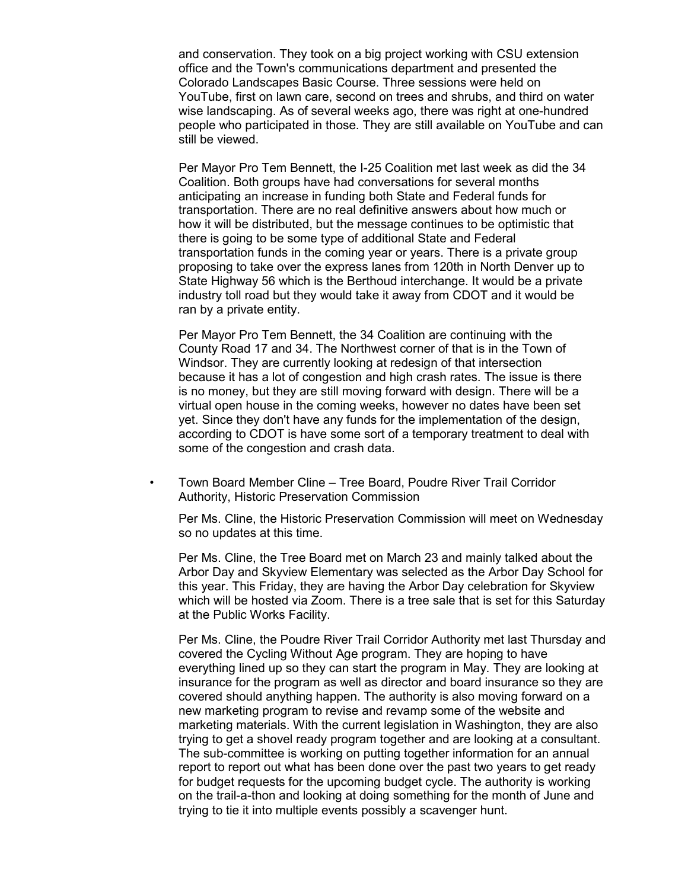and conservation. They took on a big project working with CSU extension office and the Town's communications department and presented the Colorado Landscapes Basic Course. Three sessions were held on YouTube, first on lawn care, second on trees and shrubs, and third on water wise landscaping. As of several weeks ago, there was right at one-hundred people who participated in those. They are still available on YouTube and can still be viewed.

Per Mayor Pro Tem Bennett, the I-25 Coalition met last week as did the 34 Coalition. Both groups have had conversations for several months anticipating an increase in funding both State and Federal funds for transportation. There are no real definitive answers about how much or how it will be distributed, but the message continues to be optimistic that there is going to be some type of additional State and Federal transportation funds in the coming year or years. There is a private group proposing to take over the express lanes from 120th in North Denver up to State Highway 56 which is the Berthoud interchange. It would be a private industry toll road but they would take it away from CDOT and it would be ran by a private entity.

Per Mayor Pro Tem Bennett, the 34 Coalition are continuing with the County Road 17 and 34. The Northwest corner of that is in the Town of Windsor. They are currently looking at redesign of that intersection because it has a lot of congestion and high crash rates. The issue is there is no money, but they are still moving forward with design. There will be a virtual open house in the coming weeks, however no dates have been set yet. Since they don't have any funds for the implementation of the design, according to CDOT is have some sort of a temporary treatment to deal with some of the congestion and crash data.

• Town Board Member Cline – Tree Board, Poudre River Trail Corridor Authority, Historic Preservation Commission

Per Ms. Cline, the Historic Preservation Commission will meet on Wednesday so no updates at this time.

Per Ms. Cline, the Tree Board met on March 23 and mainly talked about the Arbor Day and Skyview Elementary was selected as the Arbor Day School for this year. This Friday, they are having the Arbor Day celebration for Skyview which will be hosted via Zoom. There is a tree sale that is set for this Saturday at the Public Works Facility.

Per Ms. Cline, the Poudre River Trail Corridor Authority met last Thursday and covered the Cycling Without Age program. They are hoping to have everything lined up so they can start the program in May. They are looking at insurance for the program as well as director and board insurance so they are covered should anything happen. The authority is also moving forward on a new marketing program to revise and revamp some of the website and marketing materials. With the current legislation in Washington, they are also trying to get a shovel ready program together and are looking at a consultant. The sub-committee is working on putting together information for an annual report to report out what has been done over the past two years to get ready for budget requests for the upcoming budget cycle. The authority is working on the trail-a-thon and looking at doing something for the month of June and trying to tie it into multiple events possibly a scavenger hunt.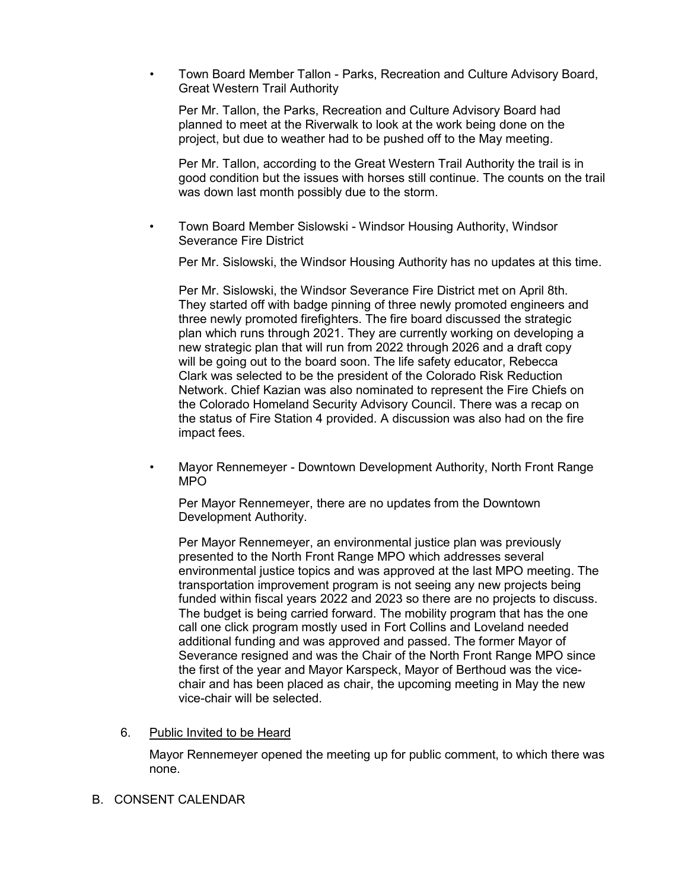• Town Board Member Tallon - Parks, Recreation and Culture Advisory Board, Great Western Trail Authority

Per Mr. Tallon, the Parks, Recreation and Culture Advisory Board had planned to meet at the Riverwalk to look at the work being done on the project, but due to weather had to be pushed off to the May meeting.

Per Mr. Tallon, according to the Great Western Trail Authority the trail is in good condition but the issues with horses still continue. The counts on the trail was down last month possibly due to the storm.

• Town Board Member Sislowski - Windsor Housing Authority, Windsor Severance Fire District

Per Mr. Sislowski, the Windsor Housing Authority has no updates at this time.

Per Mr. Sislowski, the Windsor Severance Fire District met on April 8th. They started off with badge pinning of three newly promoted engineers and three newly promoted firefighters. The fire board discussed the strategic plan which runs through 2021. They are currently working on developing a new strategic plan that will run from 2022 through 2026 and a draft copy will be going out to the board soon. The life safety educator, Rebecca Clark was selected to be the president of the Colorado Risk Reduction Network. Chief Kazian was also nominated to represent the Fire Chiefs on the Colorado Homeland Security Advisory Council. There was a recap on the status of Fire Station 4 provided. A discussion was also had on the fire impact fees.

• Mayor Rennemeyer - Downtown Development Authority, North Front Range MPO

Per Mayor Rennemeyer, there are no updates from the Downtown Development Authority.

Per Mayor Rennemeyer, an environmental justice plan was previously presented to the North Front Range MPO which addresses several environmental justice topics and was approved at the last MPO meeting. The transportation improvement program is not seeing any new projects being funded within fiscal years 2022 and 2023 so there are no projects to discuss. The budget is being carried forward. The mobility program that has the one call one click program mostly used in Fort Collins and Loveland needed additional funding and was approved and passed. The former Mayor of Severance resigned and was the Chair of the North Front Range MPO since the first of the year and Mayor Karspeck, Mayor of Berthoud was the vicechair and has been placed as chair, the upcoming meeting in May the new vice-chair will be selected.

### 6. Public Invited to be Heard

Mayor Rennemeyer opened the meeting up for public comment, to which there was none.

B. CONSENT CALENDAR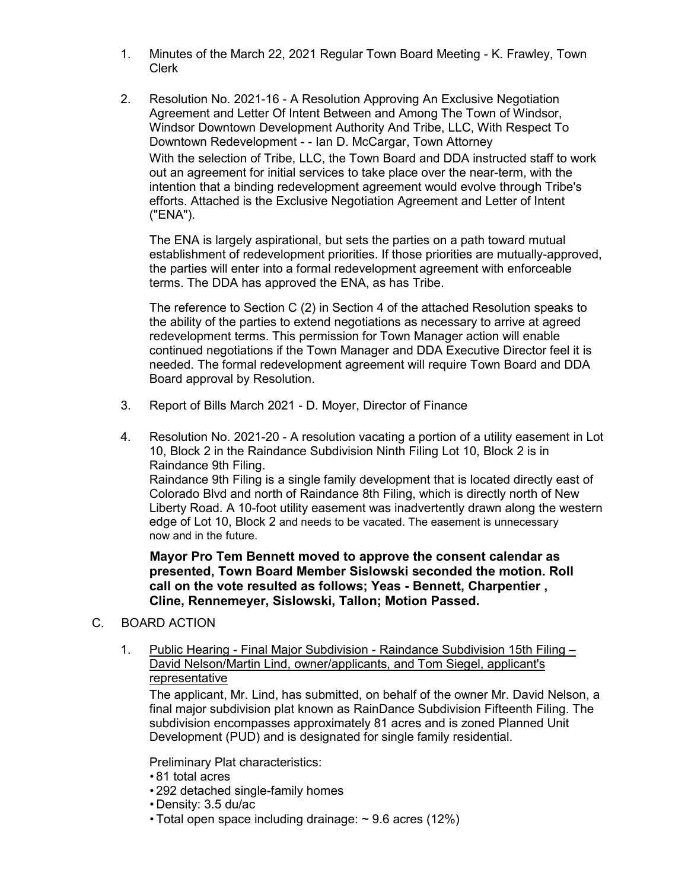- 1. Minutes of the March 22, 2021 Regular Town Board Meeting K. Frawley, Town Clerk
- 2. Resolution No. 2021-16 A Resolution Approving An Exclusive Negotiation Agreement and Letter Of Intent Between and Among The Town of Windsor, Windsor Downtown Development Authority And Tribe, LLC, With Respect To Downtown Redevelopment - - Ian D. McCargar, Town Attorney With the selection of Tribe, LLC, the Town Board and DDA instructed staff to work out an agreement for initial services to take place over the near-term, with the intention that a binding redevelopment agreement would evolve through Tribe's efforts. Attached is the Exclusive Negotiation Agreement and Letter of Intent ("ENA").

The ENA is largely aspirational, but sets the parties on a path toward mutual establishment of redevelopment priorities. If those priorities are mutually-approved, the parties will enter into a formal redevelopment agreement with enforceable terms. The DDA has approved the ENA, as has Tribe.

The reference to Section C (2) in Section 4 of the attached Resolution speaks to the ability of the parties to extend negotiations as necessary to arrive at agreed redevelopment terms. This permission for Town Manager action will enable continued negotiations if the Town Manager and DDA Executive Director feel it is needed. The formal redevelopment agreement will require Town Board and DDA Board approval by Resolution.

- 3. Report of Bills March 2021 D. Moyer, Director of Finance
- 4. Resolution No. 2021-20 A resolution vacating a portion of a utility easement in Lot 10, Block 2 in the Raindance Subdivision Ninth Filing Lot 10, Block 2 is in Raindance 9th Filing.

Raindance 9th Filing is a single family development that is located directly east of Colorado Blvd and north of Raindance 8th Filing, which is directly north of New Liberty Road. A 10-foot utility easement was inadvertently drawn along the western edge of Lot 10, Block 2 and needs to be vacated. The easement is unnecessary now and in the future.

**Mayor Pro Tem Bennett moved to approve the consent calendar as presented, Town Board Member Sislowski seconded the motion. Roll call on the vote resulted as follows; Yeas - Bennett, Charpentier , Cline, Rennemeyer, Sislowski, Tallon; Motion Passed.**

- C. BOARD ACTION
	- 1. Public Hearing Final Major Subdivision Raindance Subdivision 15th Filing David Nelson/Martin Lind, owner/applicants, and Tom Siegel, applicant's representative

The applicant, Mr. Lind, has submitted, on behalf of the owner Mr. David Nelson, a final major subdivision plat known as RainDance Subdivision Fifteenth Filing. The subdivision encompasses approximately 81 acres and is zoned Planned Unit Development (PUD) and is designated for single family residential.

Preliminary Plat characteristics:

- 81 total acres
- 292 detached single-family homes
- Density: 3.5 du/ac
- Total open space including drainage: ~ 9.6 acres (12%)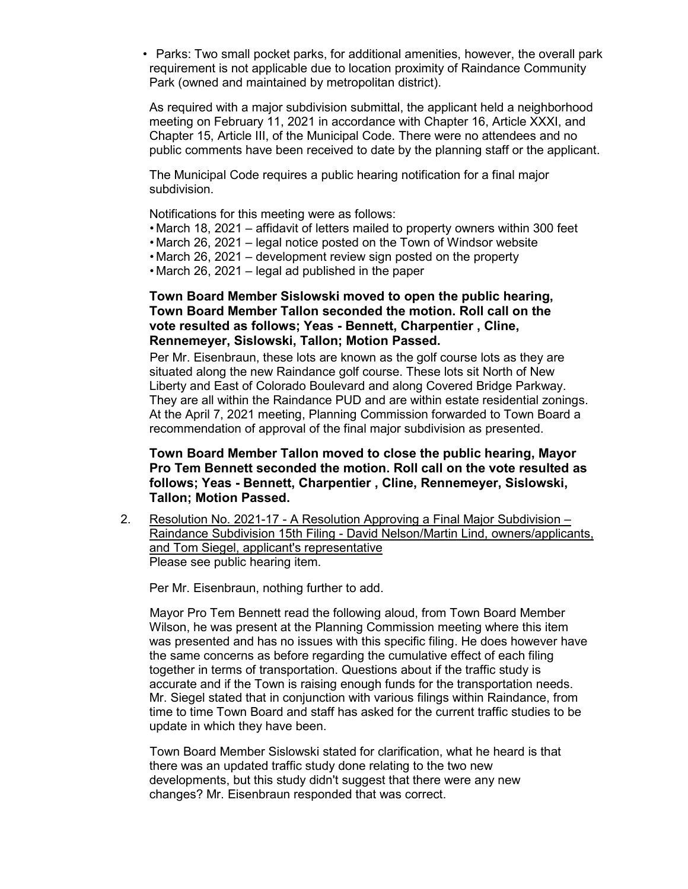• Parks: Two small pocket parks, for additional amenities, however, the overall park requirement is not applicable due to location proximity of Raindance Community Park (owned and maintained by metropolitan district).

As required with a major subdivision submittal, the applicant held a neighborhood meeting on February 11, 2021 in accordance with Chapter 16, Article XXXI, and Chapter 15, Article III, of the Municipal Code. There were no attendees and no public comments have been received to date by the planning staff or the applicant.

The Municipal Code requires a public hearing notification for a final major subdivision.

Notifications for this meeting were as follows:

- March 18, 2021 affidavit of letters mailed to property owners within 300 feet
- March 26, 2021 legal notice posted on the Town of Windsor website
- March 26, 2021 development review sign posted on the property
- March 26, 2021 legal ad published in the paper

### **Town Board Member Sislowski moved to open the public hearing, Town Board Member Tallon seconded the motion. Roll call on the vote resulted as follows; Yeas - Bennett, Charpentier , Cline, Rennemeyer, Sislowski, Tallon; Motion Passed.**

Per Mr. Eisenbraun, these lots are known as the golf course lots as they are situated along the new Raindance golf course. These lots sit North of New Liberty and East of Colorado Boulevard and along Covered Bridge Parkway. They are all within the Raindance PUD and are within estate residential zonings. At the April 7, 2021 meeting, Planning Commission forwarded to Town Board a recommendation of approval of the final major subdivision as presented.

### **Town Board Member Tallon moved to close the public hearing, Mayor Pro Tem Bennett seconded the motion. Roll call on the vote resulted as follows; Yeas - Bennett, Charpentier , Cline, Rennemeyer, Sislowski, Tallon; Motion Passed.**

2. Resolution No. 2021-17 - A Resolution Approving a Final Major Subdivision – Raindance Subdivision 15th Filing - David Nelson/Martin Lind, owners/applicants, and Tom Siegel, applicant's representative Please see public hearing item.

Per Mr. Eisenbraun, nothing further to add.

Mayor Pro Tem Bennett read the following aloud, from Town Board Member Wilson, he was present at the Planning Commission meeting where this item was presented and has no issues with this specific filing. He does however have the same concerns as before regarding the cumulative effect of each filing together in terms of transportation. Questions about if the traffic study is accurate and if the Town is raising enough funds for the transportation needs. Mr. Siegel stated that in conjunction with various filings within Raindance, from time to time Town Board and staff has asked for the current traffic studies to be update in which they have been.

Town Board Member Sislowski stated for clarification, what he heard is that there was an updated traffic study done relating to the two new developments, but this study didn't suggest that there were any new changes? Mr. Eisenbraun responded that was correct.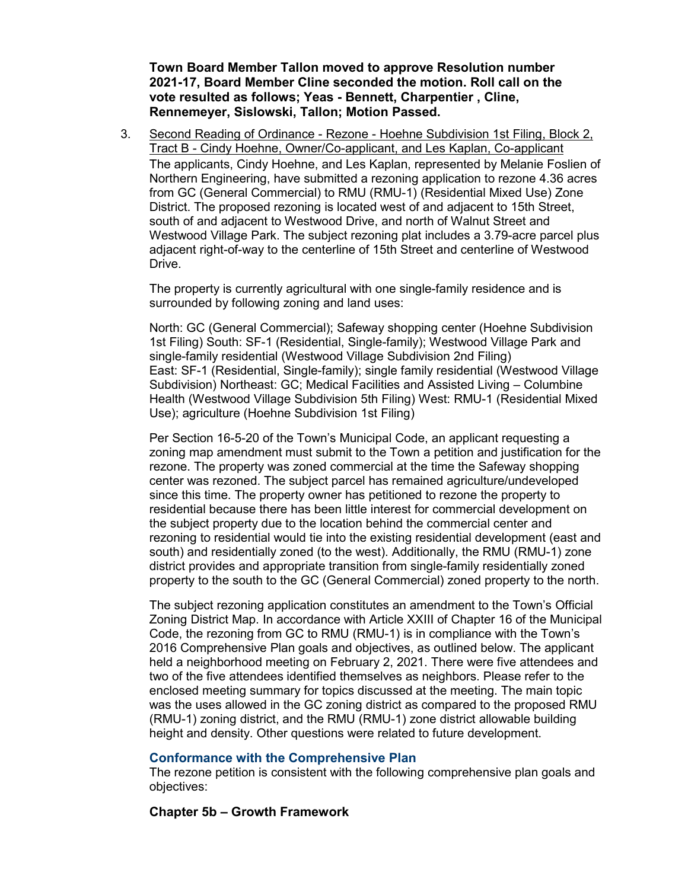**Town Board Member Tallon moved to approve Resolution number 2021-17, Board Member Cline seconded the motion. Roll call on the vote resulted as follows; Yeas - Bennett, Charpentier , Cline, Rennemeyer, Sislowski, Tallon; Motion Passed.**

3. Second Reading of Ordinance - Rezone - Hoehne Subdivision 1st Filing, Block 2, Tract B - Cindy Hoehne, Owner/Co-applicant, and Les Kaplan, Co-applicant The applicants, Cindy Hoehne, and Les Kaplan, represented by Melanie Foslien of Northern Engineering, have submitted a rezoning application to rezone 4.36 acres from GC (General Commercial) to RMU (RMU-1) (Residential Mixed Use) Zone District. The proposed rezoning is located west of and adjacent to 15th Street, south of and adjacent to Westwood Drive, and north of Walnut Street and Westwood Village Park. The subject rezoning plat includes a 3.79-acre parcel plus adjacent right-of-way to the centerline of 15th Street and centerline of Westwood Drive.

The property is currently agricultural with one single-family residence and is surrounded by following zoning and land uses:

North: GC (General Commercial); Safeway shopping center (Hoehne Subdivision 1st Filing) South: SF-1 (Residential, Single-family); Westwood Village Park and single-family residential (Westwood Village Subdivision 2nd Filing) East: SF-1 (Residential, Single-family); single family residential (Westwood Village Subdivision) Northeast: GC; Medical Facilities and Assisted Living – Columbine Health (Westwood Village Subdivision 5th Filing) West: RMU-1 (Residential Mixed Use); agriculture (Hoehne Subdivision 1st Filing)

Per Section 16-5-20 of the Town's Municipal Code, an applicant requesting a zoning map amendment must submit to the Town a petition and justification for the rezone. The property was zoned commercial at the time the Safeway shopping center was rezoned. The subject parcel has remained agriculture/undeveloped since this time. The property owner has petitioned to rezone the property to residential because there has been little interest for commercial development on the subject property due to the location behind the commercial center and rezoning to residential would tie into the existing residential development (east and south) and residentially zoned (to the west). Additionally, the RMU (RMU-1) zone district provides and appropriate transition from single-family residentially zoned property to the south to the GC (General Commercial) zoned property to the north.

The subject rezoning application constitutes an amendment to the Town's Official Zoning District Map. In accordance with Article XXIII of Chapter 16 of the Municipal Code, the rezoning from GC to RMU (RMU-1) is in compliance with the Town's 2016 Comprehensive Plan goals and objectives, as outlined below. The applicant held a neighborhood meeting on February 2, 2021. There were five attendees and two of the five attendees identified themselves as neighbors. Please refer to the enclosed meeting summary for topics discussed at the meeting. The main topic was the uses allowed in the GC zoning district as compared to the proposed RMU (RMU-1) zoning district, and the RMU (RMU-1) zone district allowable building height and density. Other questions were related to future development.

### **Conformance with the Comprehensive Plan**

The rezone petition is consistent with the following comprehensive plan goals and objectives:

#### **Chapter 5b – Growth Framework**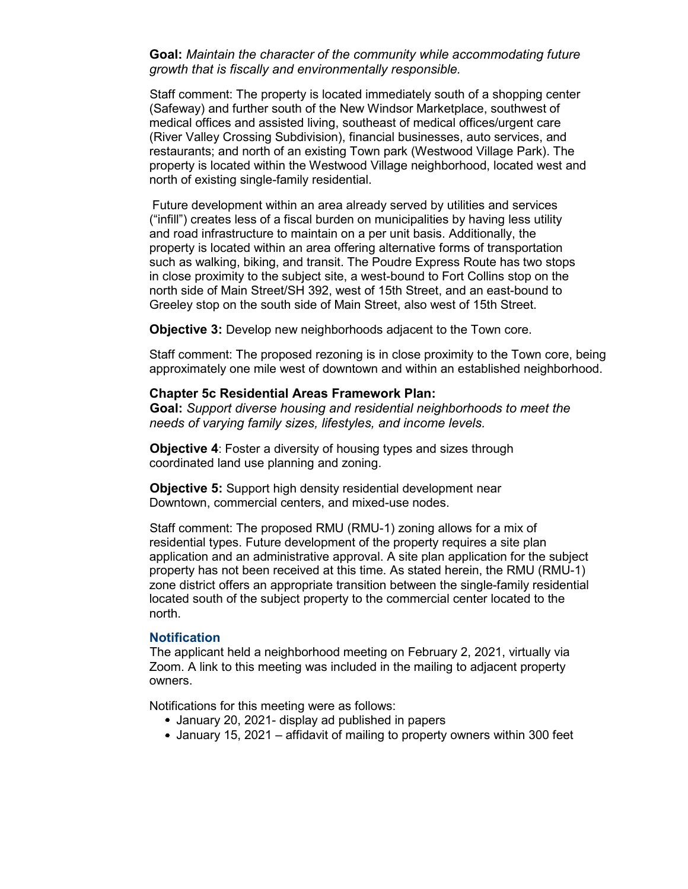**Goal:** *Maintain the character of the community while accommodating future growth that is fiscally and environmentally responsible.*

Staff comment: The property is located immediately south of a shopping center (Safeway) and further south of the New Windsor Marketplace, southwest of medical offices and assisted living, southeast of medical offices/urgent care (River Valley Crossing Subdivision), financial businesses, auto services, and restaurants; and north of an existing Town park (Westwood Village Park). The property is located within the Westwood Village neighborhood, located west and north of existing single-family residential.

Future development within an area already served by utilities and services ("infill") creates less of a fiscal burden on municipalities by having less utility and road infrastructure to maintain on a per unit basis. Additionally, the property is located within an area offering alternative forms of transportation such as walking, biking, and transit. The Poudre Express Route has two stops in close proximity to the subject site, a west-bound to Fort Collins stop on the north side of Main Street/SH 392, west of 15th Street, and an east-bound to Greeley stop on the south side of Main Street, also west of 15th Street.

**Objective 3:** Develop new neighborhoods adjacent to the Town core.

Staff comment: The proposed rezoning is in close proximity to the Town core, being approximately one mile west of downtown and within an established neighborhood.

#### **Chapter 5c Residential Areas Framework Plan:**

**Goal:** *Support diverse housing and residential neighborhoods to meet the needs of varying family sizes, lifestyles, and income levels.*

**Objective 4:** Foster a diversity of housing types and sizes through coordinated land use planning and zoning.

**Objective 5:** Support high density residential development near Downtown, commercial centers, and mixed-use nodes.

Staff comment: The proposed RMU (RMU-1) zoning allows for a mix of residential types. Future development of the property requires a site plan application and an administrative approval. A site plan application for the subject property has not been received at this time. As stated herein, the RMU (RMU-1) zone district offers an appropriate transition between the single-family residential located south of the subject property to the commercial center located to the north.

#### **Notification**

The applicant held a neighborhood meeting on February 2, 2021, virtually via Zoom. A link to this meeting was included in the mailing to adjacent property owners.

Notifications for this meeting were as follows:

- January 20, 2021- display ad published in papers
- January 15, 2021 affidavit of mailing to property owners within 300 feet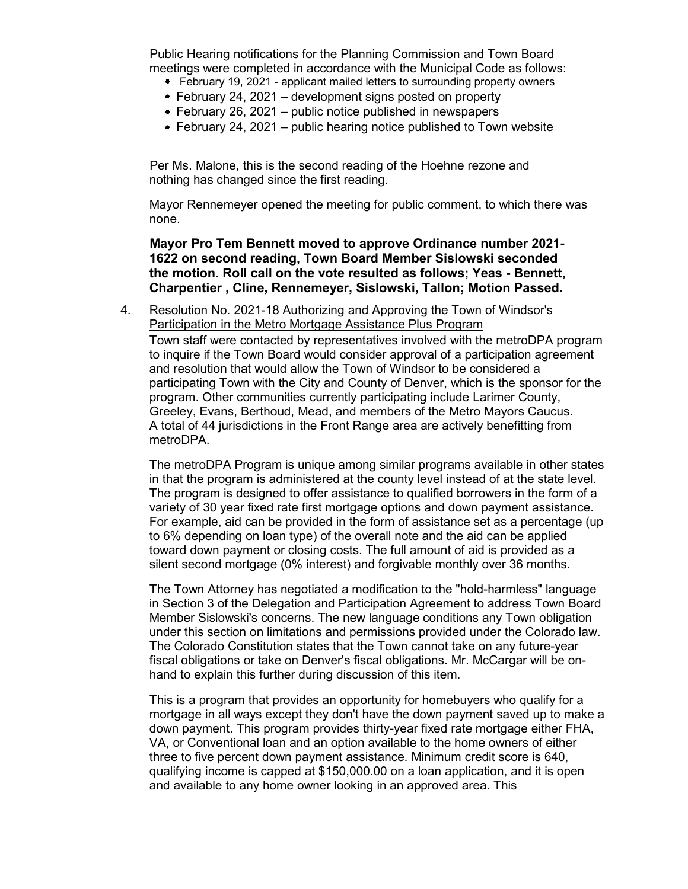Public Hearing notifications for the Planning Commission and Town Board meetings were completed in accordance with the Municipal Code as follows:

- February 19, 2021 applicant mailed letters to surrounding property owners
- February 24, 2021 development signs posted on property
- $\bullet$  February 26, 2021 public notice published in newspapers
- February 24, 2021 public hearing notice published to Town website

Per Ms. Malone, this is the second reading of the Hoehne rezone and nothing has changed since the first reading.

Mayor Rennemeyer opened the meeting for public comment, to which there was none.

**Mayor Pro Tem Bennett moved to approve Ordinance number 2021- 1622 on second reading, Town Board Member Sislowski seconded the motion. Roll call on the vote resulted as follows; Yeas - Bennett, Charpentier , Cline, Rennemeyer, Sislowski, Tallon; Motion Passed.**

4. Resolution No. 2021-18 Authorizing and Approving the Town of Windsor's Participation in the Metro Mortgage Assistance Plus Program

Town staff were contacted by representatives involved with the metroDPA program to inquire if the Town Board would consider approval of a participation agreement and resolution that would allow the Town of Windsor to be considered a participating Town with the City and County of Denver, which is the sponsor for the program. Other communities currently participating include Larimer County, Greeley, Evans, Berthoud, Mead, and members of the Metro Mayors Caucus. A total of 44 jurisdictions in the Front Range area are actively benefitting from metroDPA.

The metroDPA Program is unique among similar programs available in other states in that the program is administered at the county level instead of at the state level. The program is designed to offer assistance to qualified borrowers in the form of a variety of 30 year fixed rate first mortgage options and down payment assistance. For example, aid can be provided in the form of assistance set as a percentage (up to 6% depending on loan type) of the overall note and the aid can be applied toward down payment or closing costs. The full amount of aid is provided as a silent second mortgage (0% interest) and forgivable monthly over 36 months.

The Town Attorney has negotiated a modification to the "hold-harmless" language in Section 3 of the Delegation and Participation Agreement to address Town Board Member Sislowski's concerns. The new language conditions any Town obligation under this section on limitations and permissions provided under the Colorado law. The Colorado Constitution states that the Town cannot take on any future-year fiscal obligations or take on Denver's fiscal obligations. Mr. McCargar will be onhand to explain this further during discussion of this item.

This is a program that provides an opportunity for homebuyers who qualify for a mortgage in all ways except they don't have the down payment saved up to make a down payment. This program provides thirty-year fixed rate mortgage either FHA, VA, or Conventional loan and an option available to the home owners of either three to five percent down payment assistance. Minimum credit score is 640, qualifying income is capped at \$150,000.00 on a loan application, and it is open and available to any home owner looking in an approved area. This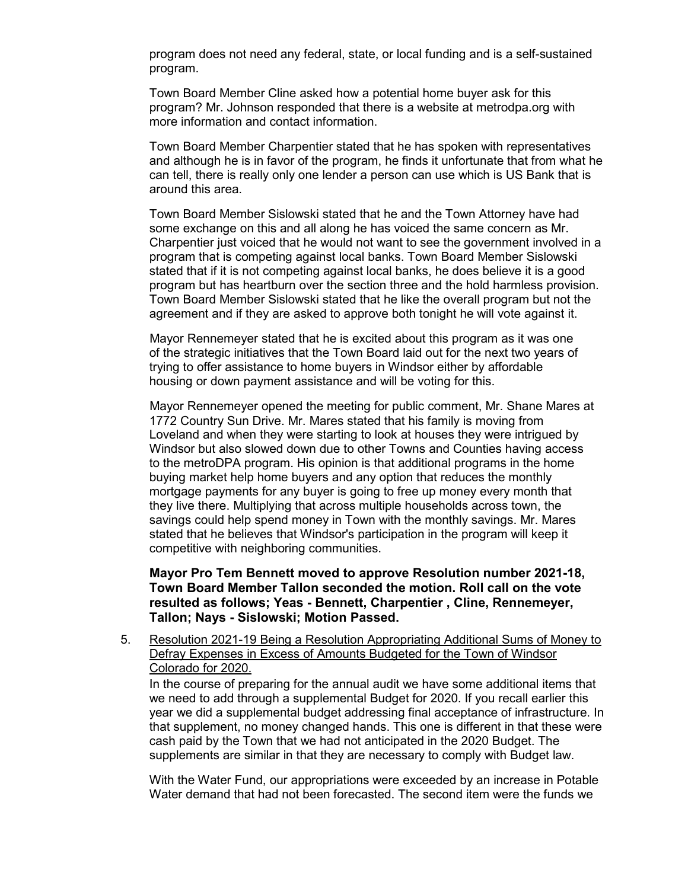program does not need any federal, state, or local funding and is a self-sustained program.

Town Board Member Cline asked how a potential home buyer ask for this program? Mr. Johnson responded that there is a website at metrodpa.org with more information and contact information.

Town Board Member Charpentier stated that he has spoken with representatives and although he is in favor of the program, he finds it unfortunate that from what he can tell, there is really only one lender a person can use which is US Bank that is around this area.

Town Board Member Sislowski stated that he and the Town Attorney have had some exchange on this and all along he has voiced the same concern as Mr. Charpentier just voiced that he would not want to see the government involved in a program that is competing against local banks. Town Board Member Sislowski stated that if it is not competing against local banks, he does believe it is a good program but has heartburn over the section three and the hold harmless provision. Town Board Member Sislowski stated that he like the overall program but not the agreement and if they are asked to approve both tonight he will vote against it.

Mayor Rennemeyer stated that he is excited about this program as it was one of the strategic initiatives that the Town Board laid out for the next two years of trying to offer assistance to home buyers in Windsor either by affordable housing or down payment assistance and will be voting for this.

Mayor Rennemeyer opened the meeting for public comment, Mr. Shane Mares at 1772 Country Sun Drive. Mr. Mares stated that his family is moving from Loveland and when they were starting to look at houses they were intrigued by Windsor but also slowed down due to other Towns and Counties having access to the metroDPA program. His opinion is that additional programs in the home buying market help home buyers and any option that reduces the monthly mortgage payments for any buyer is going to free up money every month that they live there. Multiplying that across multiple households across town, the savings could help spend money in Town with the monthly savings. Mr. Mares stated that he believes that Windsor's participation in the program will keep it competitive with neighboring communities.

**Mayor Pro Tem Bennett moved to approve Resolution number 2021-18, Town Board Member Tallon seconded the motion. Roll call on the vote resulted as follows; Yeas - Bennett, Charpentier , Cline, Rennemeyer, Tallon; Nays - Sislowski; Motion Passed.**

5. Resolution 2021-19 Being a Resolution Appropriating Additional Sums of Money to Defray Expenses in Excess of Amounts Budgeted for the Town of Windsor Colorado for 2020.

In the course of preparing for the annual audit we have some additional items that we need to add through a supplemental Budget for 2020. If you recall earlier this year we did a supplemental budget addressing final acceptance of infrastructure. In that supplement, no money changed hands. This one is different in that these were cash paid by the Town that we had not anticipated in the 2020 Budget. The supplements are similar in that they are necessary to comply with Budget law.

With the Water Fund, our appropriations were exceeded by an increase in Potable Water demand that had not been forecasted. The second item were the funds we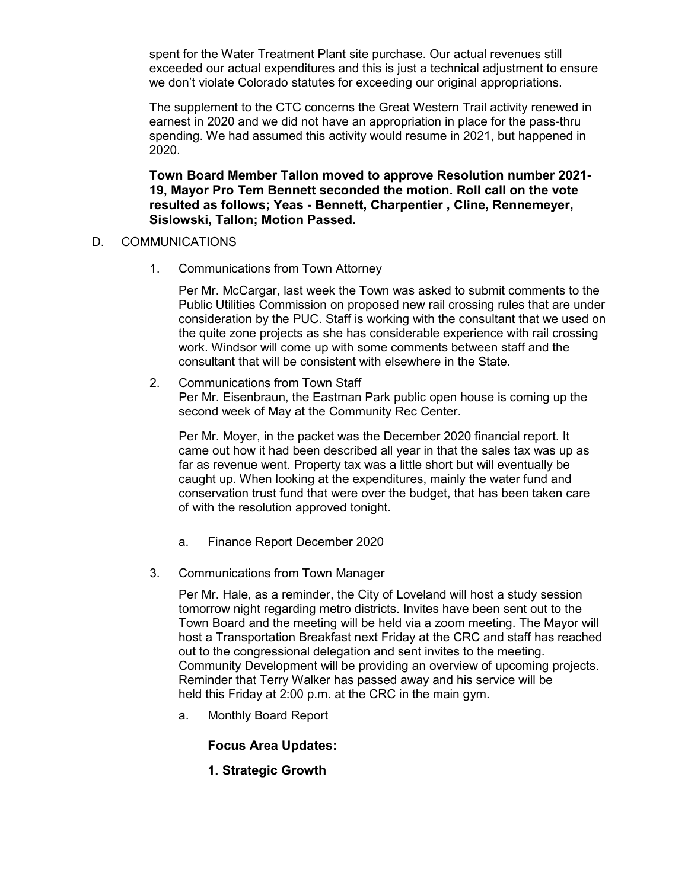spent for the Water Treatment Plant site purchase. Our actual revenues still exceeded our actual expenditures and this is just a technical adjustment to ensure we don't violate Colorado statutes for exceeding our original appropriations.

The supplement to the CTC concerns the Great Western Trail activity renewed in earnest in 2020 and we did not have an appropriation in place for the pass-thru spending. We had assumed this activity would resume in 2021, but happened in 2020.

**Town Board Member Tallon moved to approve Resolution number 2021- 19, Mayor Pro Tem Bennett seconded the motion. Roll call on the vote resulted as follows; Yeas - Bennett, Charpentier , Cline, Rennemeyer, Sislowski, Tallon; Motion Passed.**

### D. COMMUNICATIONS

1. Communications from Town Attorney

Per Mr. McCargar, last week the Town was asked to submit comments to the Public Utilities Commission on proposed new rail crossing rules that are under consideration by the PUC. Staff is working with the consultant that we used on the quite zone projects as she has considerable experience with rail crossing work. Windsor will come up with some comments between staff and the consultant that will be consistent with elsewhere in the State.

### 2. Communications from Town Staff Per Mr. Eisenbraun, the Eastman Park public open house is coming up the second week of May at the Community Rec Center.

Per Mr. Moyer, in the packet was the December 2020 financial report. It came out how it had been described all year in that the sales tax was up as far as revenue went. Property tax was a little short but will eventually be caught up. When looking at the expenditures, mainly the water fund and conservation trust fund that were over the budget, that has been taken care of with the resolution approved tonight.

- a. Finance Report December 2020
- 3. Communications from Town Manager

Per Mr. Hale, as a reminder, the City of Loveland will host a study session tomorrow night regarding metro districts. Invites have been sent out to the Town Board and the meeting will be held via a zoom meeting. The Mayor will host a Transportation Breakfast next Friday at the CRC and staff has reached out to the congressional delegation and sent invites to the meeting. Community Development will be providing an overview of upcoming projects. Reminder that Terry Walker has passed away and his service will be held this Friday at 2:00 p.m. at the CRC in the main gym.

a. Monthly Board Report

### **Focus Area Updates:**

**1. Strategic Growth**